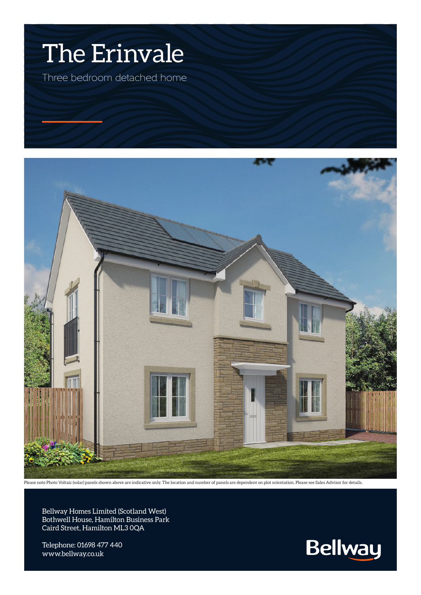## The Erinvale

Three bedroom detached home



Please note Photo Voltaic (solar) panels shown above are indicative only. The location and number of panels are dependent on plot orientation. Please see Sales Advisor for details.

Bellway Homes Limited (Scotland West) Bothwell House, Hamilton Business Park Caird Street, Hamilton ML3 0QA

Telephone: 01698 477 440 www.bellway.co.uk

**Bellway**